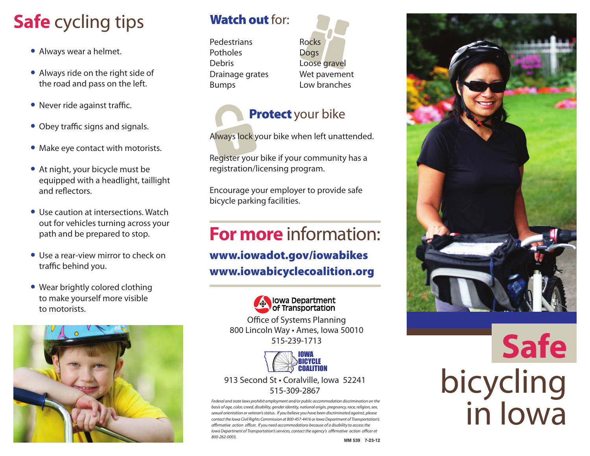# **Safe** cycling tips

- **•** Always wear a helmet.
- **•** Always ride on the right side of the road and pass on the left.
- **•** Never ride against traffic.
	- Obey traffic signs and signals.
	- **•** Make eye contact with motorists.
	- **•** At night, your bicycle must be equipped with a headlight, taillight and reflectors.
	- **•** Use caution at intersections. Watch out for vehicles turning across your path and be prepared to stop.
	- **•** Use a rear-view mirror to check on traffic behind you.
	- **•** Wear brightly colored clothing to make yourself more visible to motorists.



#### **Watch out for:**

Pedestrians**Potholes** DebrisDrainage grates Bumps

RocksDogs Loose gravel Wet pavement Low branches

#### **Protect** your bike

Always lock your bike when left unattended.

Register your bike if your community has a registration/licensing program.

Encourage your employer to provide safe bicycle parking facilities.

### **For more** information:

#### **www.iowadot.gov/iowabikes www.iowabicyclecoalition.org**



Office of Systems Planning 800 Lincoln Way • Ames, Iowa 50010 515-239-1713



#### 913 Second St • Coralville, Iowa 52241 515-309-2867

Federal and state laws prohibit employment and/or public accommodation discrimination on the basis of age, color, creed, disability, gender identity, national origin, pregnancy, race, religion, sex, sexual orientation or veteran's status. If you believe you have been discriminated against, please contact the Iowa Civil Rights Commission at 800-457-4416 or Iowa Department of Transportation's affirmative action officer. If you need accommodations because of a disability to access the Iowa Department of Transportation's services, contact the agency's affirmative action officer at 800-262-0003.